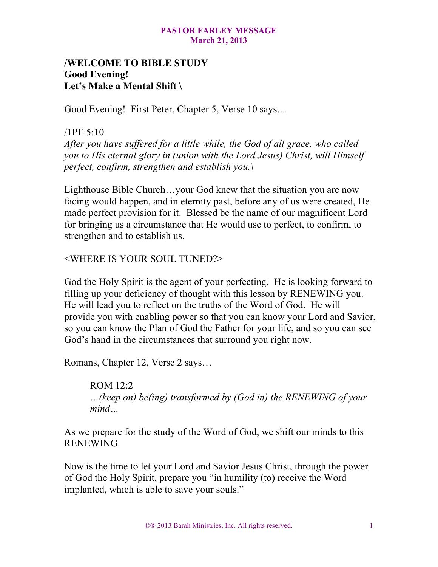### **/WELCOME TO BIBLE STUDY Good Evening! Let's Make a Mental Shift \**

Good Evening! First Peter, Chapter 5, Verse 10 says…

# $/1PE$  5:10

*After you have suffered for a little while, the God of all grace, who called you to His eternal glory in (union with the Lord Jesus) Christ, will Himself perfect, confirm, strengthen and establish you.\*

Lighthouse Bible Church…your God knew that the situation you are now facing would happen, and in eternity past, before any of us were created, He made perfect provision for it. Blessed be the name of our magnificent Lord for bringing us a circumstance that He would use to perfect, to confirm, to strengthen and to establish us.

<WHERE IS YOUR SOUL TUNED?>

God the Holy Spirit is the agent of your perfecting. He is looking forward to filling up your deficiency of thought with this lesson by RENEWING you. He will lead you to reflect on the truths of the Word of God. He will provide you with enabling power so that you can know your Lord and Savior, so you can know the Plan of God the Father for your life, and so you can see God's hand in the circumstances that surround you right now.

Romans, Chapter 12, Verse 2 says…

ROM 12:2 *…(keep on) be(ing) transformed by (God in) the RENEWING of your mind…*

As we prepare for the study of the Word of God, we shift our minds to this RENEWING.

Now is the time to let your Lord and Savior Jesus Christ, through the power of God the Holy Spirit, prepare you "in humility (to) receive the Word implanted, which is able to save your souls."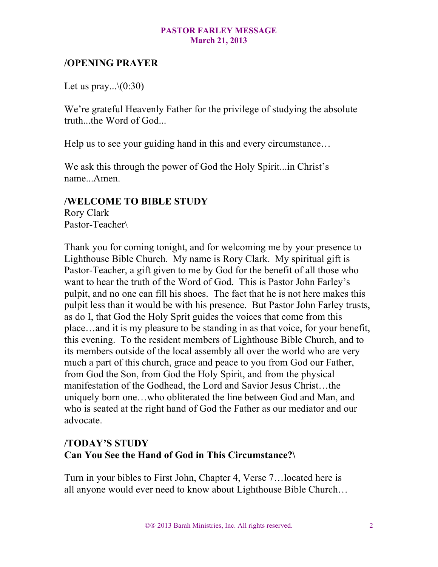### **/OPENING PRAYER**

Let us pray... $(0:30)$ 

We're grateful Heavenly Father for the privilege of studying the absolute truth...the Word of God...

Help us to see your guiding hand in this and every circumstance...

We ask this through the power of God the Holy Spirit...in Christ's name...Amen.

### **/WELCOME TO BIBLE STUDY**

Rory Clark Pastor-Teacher\

Thank you for coming tonight, and for welcoming me by your presence to Lighthouse Bible Church. My name is Rory Clark. My spiritual gift is Pastor-Teacher, a gift given to me by God for the benefit of all those who want to hear the truth of the Word of God. This is Pastor John Farley's pulpit, and no one can fill his shoes. The fact that he is not here makes this pulpit less than it would be with his presence. But Pastor John Farley trusts, as do I, that God the Holy Sprit guides the voices that come from this place…and it is my pleasure to be standing in as that voice, for your benefit, this evening. To the resident members of Lighthouse Bible Church, and to its members outside of the local assembly all over the world who are very much a part of this church, grace and peace to you from God our Father, from God the Son, from God the Holy Spirit, and from the physical manifestation of the Godhead, the Lord and Savior Jesus Christ…the uniquely born one…who obliterated the line between God and Man, and who is seated at the right hand of God the Father as our mediator and our advocate.

# **/TODAY'S STUDY Can You See the Hand of God in This Circumstance?\**

Turn in your bibles to First John, Chapter 4, Verse 7…located here is all anyone would ever need to know about Lighthouse Bible Church…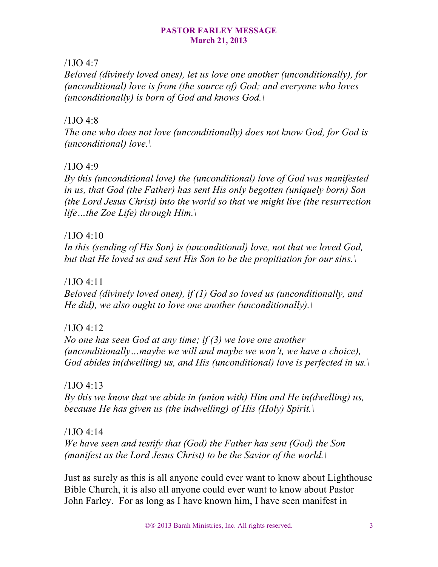### /1JO 4:7

*Beloved (divinely loved ones), let us love one another (unconditionally), for (unconditional) love is from (the source of) God; and everyone who loves (unconditionally) is born of God and knows God.\*

### /1JO 4:8

*The one who does not love (unconditionally) does not know God, for God is (unconditional) love.\*

### /1JO 4:9

*By this (unconditional love) the (unconditional) love of God was manifested in us, that God (the Father) has sent His only begotten (uniquely born) Son (the Lord Jesus Christ) into the world so that we might live (the resurrection life…the Zoe Life) through Him.\*

### /1JO 4:10

*In this (sending of His Son) is (unconditional) love, not that we loved God, but that He loved us and sent His Son to be the propitiation for our sins.\*

### /1JO 4:11

*Beloved (divinely loved ones), if (1) God so loved us (unconditionally, and He did), we also ought to love one another (unconditionally).\*

# /1JO 4:12

*No one has seen God at any time; if (3) we love one another (unconditionally…maybe we will and maybe we won't, we have a choice), God abides in(dwelling) us, and His (unconditional) love is perfected in us.\*

# /1JO 4:13

*By this we know that we abide in (union with) Him and He in(dwelling) us, because He has given us (the indwelling) of His (Holy) Spirit.\*

# /1JO 4:14

*We have seen and testify that (God) the Father has sent (God) the Son (manifest as the Lord Jesus Christ) to be the Savior of the world.\*

Just as surely as this is all anyone could ever want to know about Lighthouse Bible Church, it is also all anyone could ever want to know about Pastor John Farley. For as long as I have known him, I have seen manifest in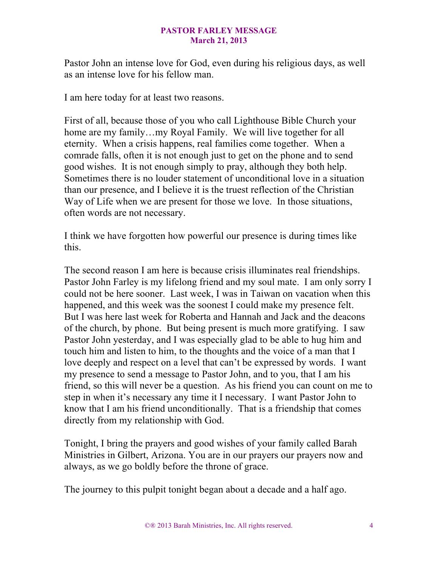Pastor John an intense love for God, even during his religious days, as well as an intense love for his fellow man.

I am here today for at least two reasons.

First of all, because those of you who call Lighthouse Bible Church your home are my family...my Royal Family. We will live together for all eternity. When a crisis happens, real families come together. When a comrade falls, often it is not enough just to get on the phone and to send good wishes. It is not enough simply to pray, although they both help. Sometimes there is no louder statement of unconditional love in a situation than our presence, and I believe it is the truest reflection of the Christian Way of Life when we are present for those we love. In those situations, often words are not necessary.

I think we have forgotten how powerful our presence is during times like this.

The second reason I am here is because crisis illuminates real friendships. Pastor John Farley is my lifelong friend and my soul mate. I am only sorry I could not be here sooner. Last week, I was in Taiwan on vacation when this happened, and this week was the soonest I could make my presence felt. But I was here last week for Roberta and Hannah and Jack and the deacons of the church, by phone. But being present is much more gratifying. I saw Pastor John yesterday, and I was especially glad to be able to hug him and touch him and listen to him, to the thoughts and the voice of a man that I love deeply and respect on a level that can't be expressed by words. I want my presence to send a message to Pastor John, and to you, that I am his friend, so this will never be a question. As his friend you can count on me to step in when it's necessary any time it I necessary. I want Pastor John to know that I am his friend unconditionally. That is a friendship that comes directly from my relationship with God.

Tonight, I bring the prayers and good wishes of your family called Barah Ministries in Gilbert, Arizona. You are in our prayers our prayers now and always, as we go boldly before the throne of grace.

The journey to this pulpit tonight began about a decade and a half ago.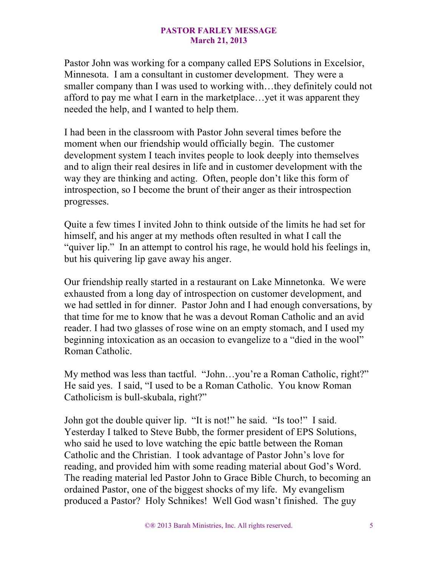Pastor John was working for a company called EPS Solutions in Excelsior, Minnesota. I am a consultant in customer development. They were a smaller company than I was used to working with…they definitely could not afford to pay me what I earn in the marketplace…yet it was apparent they needed the help, and I wanted to help them.

I had been in the classroom with Pastor John several times before the moment when our friendship would officially begin. The customer development system I teach invites people to look deeply into themselves and to align their real desires in life and in customer development with the way they are thinking and acting. Often, people don't like this form of introspection, so I become the brunt of their anger as their introspection progresses.

Quite a few times I invited John to think outside of the limits he had set for himself, and his anger at my methods often resulted in what I call the "quiver lip." In an attempt to control his rage, he would hold his feelings in, but his quivering lip gave away his anger.

Our friendship really started in a restaurant on Lake Minnetonka. We were exhausted from a long day of introspection on customer development, and we had settled in for dinner. Pastor John and I had enough conversations, by that time for me to know that he was a devout Roman Catholic and an avid reader. I had two glasses of rose wine on an empty stomach, and I used my beginning intoxication as an occasion to evangelize to a "died in the wool" Roman Catholic.

My method was less than tactful. "John...you're a Roman Catholic, right?" He said yes. I said, "I used to be a Roman Catholic. You know Roman Catholicism is bull-skubala, right?"

John got the double quiver lip. "It is not!" he said. "Is too!" I said. Yesterday I talked to Steve Bubb, the former president of EPS Solutions, who said he used to love watching the epic battle between the Roman Catholic and the Christian. I took advantage of Pastor John's love for reading, and provided him with some reading material about God's Word. The reading material led Pastor John to Grace Bible Church, to becoming an ordained Pastor, one of the biggest shocks of my life. My evangelism produced a Pastor? Holy Schnikes! Well God wasn't finished. The guy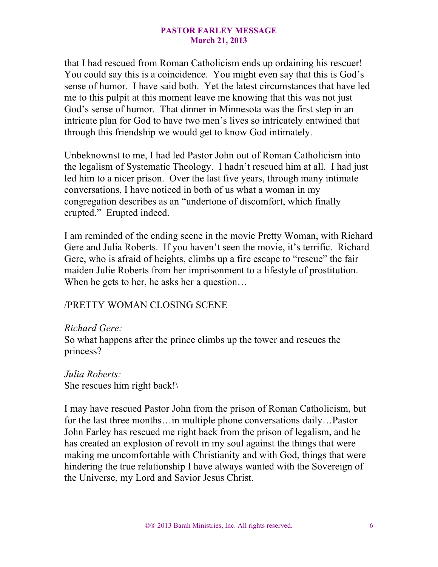that I had rescued from Roman Catholicism ends up ordaining his rescuer! You could say this is a coincidence. You might even say that this is God's sense of humor. I have said both. Yet the latest circumstances that have led me to this pulpit at this moment leave me knowing that this was not just God's sense of humor. That dinner in Minnesota was the first step in an intricate plan for God to have two men's lives so intricately entwined that through this friendship we would get to know God intimately.

Unbeknownst to me, I had led Pastor John out of Roman Catholicism into the legalism of Systematic Theology. I hadn't rescued him at all. I had just led him to a nicer prison. Over the last five years, through many intimate conversations, I have noticed in both of us what a woman in my congregation describes as an "undertone of discomfort, which finally erupted." Erupted indeed.

I am reminded of the ending scene in the movie Pretty Woman, with Richard Gere and Julia Roberts. If you haven't seen the movie, it's terrific. Richard Gere, who is afraid of heights, climbs up a fire escape to "rescue" the fair maiden Julie Roberts from her imprisonment to a lifestyle of prostitution. When he gets to her, he asks her a question...

### /PRETTY WOMAN CLOSING SCENE

### *Richard Gere:*

So what happens after the prince climbs up the tower and rescues the princess?

*Julia Roberts:* She rescues him right back!\

I may have rescued Pastor John from the prison of Roman Catholicism, but for the last three months…in multiple phone conversations daily…Pastor John Farley has rescued me right back from the prison of legalism, and he has created an explosion of revolt in my soul against the things that were making me uncomfortable with Christianity and with God, things that were hindering the true relationship I have always wanted with the Sovereign of the Universe, my Lord and Savior Jesus Christ.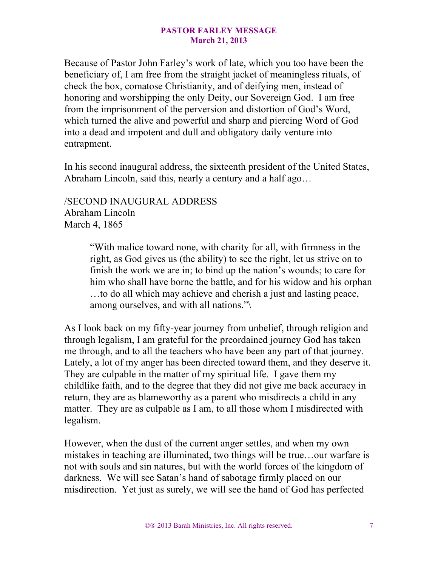Because of Pastor John Farley's work of late, which you too have been the beneficiary of, I am free from the straight jacket of meaningless rituals, of check the box, comatose Christianity, and of deifying men, instead of honoring and worshipping the only Deity, our Sovereign God. I am free from the imprisonment of the perversion and distortion of God's Word, which turned the alive and powerful and sharp and piercing Word of God into a dead and impotent and dull and obligatory daily venture into entrapment.

In his second inaugural address, the sixteenth president of the United States, Abraham Lincoln, said this, nearly a century and a half ago…

/SECOND INAUGURAL ADDRESS Abraham Lincoln March 4, 1865

> "With malice toward none, with charity for all, with firmness in the right, as God gives us (the ability) to see the right, let us strive on to finish the work we are in; to bind up the nation's wounds; to care for him who shall have borne the battle, and for his widow and his orphan …to do all which may achieve and cherish a just and lasting peace, among ourselves, and with all nations."\

As I look back on my fifty-year journey from unbelief, through religion and through legalism, I am grateful for the preordained journey God has taken me through, and to all the teachers who have been any part of that journey. Lately, a lot of my anger has been directed toward them, and they deserve it. They are culpable in the matter of my spiritual life. I gave them my childlike faith, and to the degree that they did not give me back accuracy in return, they are as blameworthy as a parent who misdirects a child in any matter. They are as culpable as I am, to all those whom I misdirected with legalism.

However, when the dust of the current anger settles, and when my own mistakes in teaching are illuminated, two things will be true…our warfare is not with souls and sin natures, but with the world forces of the kingdom of darkness. We will see Satan's hand of sabotage firmly placed on our misdirection. Yet just as surely, we will see the hand of God has perfected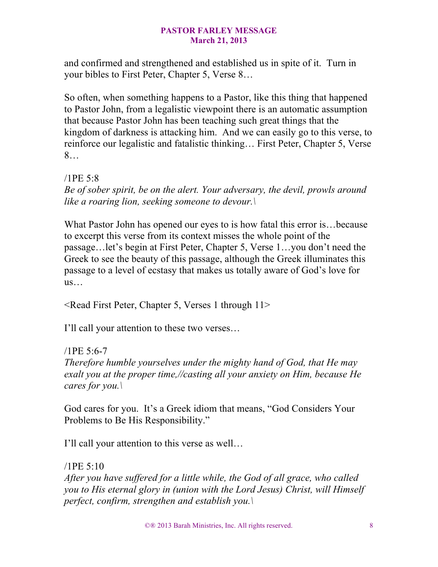and confirmed and strengthened and established us in spite of it. Turn in your bibles to First Peter, Chapter 5, Verse 8…

So often, when something happens to a Pastor, like this thing that happened to Pastor John, from a legalistic viewpoint there is an automatic assumption that because Pastor John has been teaching such great things that the kingdom of darkness is attacking him. And we can easily go to this verse, to reinforce our legalistic and fatalistic thinking… First Peter, Chapter 5, Verse 8…

/1PE 5:8

*Be of sober spirit, be on the alert. Your adversary, the devil, prowls around like a roaring lion, seeking someone to devour.\*

What Pastor John has opened our eyes to is how fatal this error is…because to excerpt this verse from its context misses the whole point of the passage…let's begin at First Peter, Chapter 5, Verse 1…you don't need the Greek to see the beauty of this passage, although the Greek illuminates this passage to a level of ecstasy that makes us totally aware of God's love for  $us...$ 

<Read First Peter, Chapter 5, Verses 1 through 11>

I'll call your attention to these two verses…

/1PE 5:6-7 *Therefore humble yourselves under the mighty hand of God, that He may exalt you at the proper time,//casting all your anxiety on Him, because He cares for you.\*

God cares for you. It's a Greek idiom that means, "God Considers Your Problems to Be His Responsibility."

I'll call your attention to this verse as well…

/1PE 5:10 *After you have suffered for a little while, the God of all grace, who called you to His eternal glory in (union with the Lord Jesus) Christ, will Himself perfect, confirm, strengthen and establish you.\*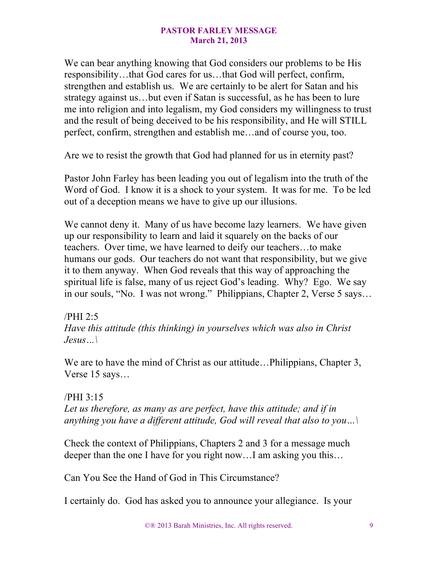We can bear anything knowing that God considers our problems to be His responsibility…that God cares for us…that God will perfect, confirm, strengthen and establish us. We are certainly to be alert for Satan and his strategy against us…but even if Satan is successful, as he has been to lure me into religion and into legalism, my God considers my willingness to trust and the result of being deceived to be his responsibility, and He will STILL perfect, confirm, strengthen and establish me…and of course you, too.

Are we to resist the growth that God had planned for us in eternity past?

Pastor John Farley has been leading you out of legalism into the truth of the Word of God. I know it is a shock to your system. It was for me. To be led out of a deception means we have to give up our illusions.

We cannot deny it. Many of us have become lazy learners. We have given up our responsibility to learn and laid it squarely on the backs of our teachers. Over time, we have learned to deify our teachers…to make humans our gods. Our teachers do not want that responsibility, but we give it to them anyway. When God reveals that this way of approaching the spiritual life is false, many of us reject God's leading. Why? Ego. We say in our souls, "No. I was not wrong." Philippians, Chapter 2, Verse 5 says…

/PHI 2:5 *Have this attitude (this thinking) in yourselves which was also in Christ Jesus…\*

We are to have the mind of Christ as our attitude...Philippians, Chapter 3, Verse 15 says…

/PHI 3:15 *Let us therefore, as many as are perfect, have this attitude; and if in anything you have a different attitude, God will reveal that also to you…\*

Check the context of Philippians, Chapters 2 and 3 for a message much deeper than the one I have for you right now…I am asking you this…

Can You See the Hand of God in This Circumstance?

I certainly do. God has asked you to announce your allegiance. Is your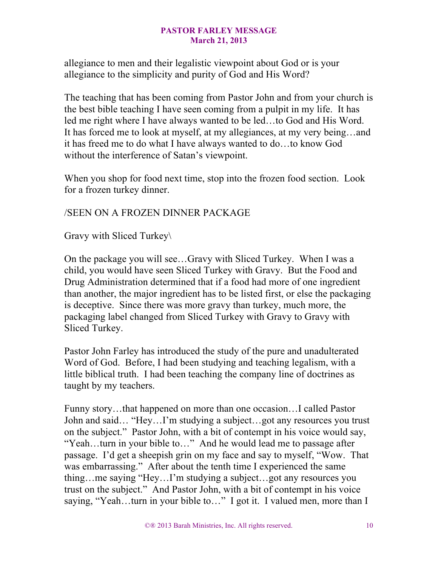allegiance to men and their legalistic viewpoint about God or is your allegiance to the simplicity and purity of God and His Word?

The teaching that has been coming from Pastor John and from your church is the best bible teaching I have seen coming from a pulpit in my life. It has led me right where I have always wanted to be led…to God and His Word. It has forced me to look at myself, at my allegiances, at my very being…and it has freed me to do what I have always wanted to do…to know God without the interference of Satan's viewpoint.

When you shop for food next time, stop into the frozen food section. Look for a frozen turkey dinner.

# /SEEN ON A FROZEN DINNER PACKAGE

Gravy with Sliced Turkey\

On the package you will see…Gravy with Sliced Turkey. When I was a child, you would have seen Sliced Turkey with Gravy. But the Food and Drug Administration determined that if a food had more of one ingredient than another, the major ingredient has to be listed first, or else the packaging is deceptive. Since there was more gravy than turkey, much more, the packaging label changed from Sliced Turkey with Gravy to Gravy with Sliced Turkey.

Pastor John Farley has introduced the study of the pure and unadulterated Word of God. Before, I had been studying and teaching legalism, with a little biblical truth. I had been teaching the company line of doctrines as taught by my teachers.

Funny story…that happened on more than one occasion…I called Pastor John and said… "Hey…I'm studying a subject…got any resources you trust on the subject." Pastor John, with a bit of contempt in his voice would say, "Yeah…turn in your bible to…" And he would lead me to passage after passage. I'd get a sheepish grin on my face and say to myself, "Wow. That was embarrassing." After about the tenth time I experienced the same thing…me saying "Hey…I'm studying a subject…got any resources you trust on the subject." And Pastor John, with a bit of contempt in his voice saying, "Yeah…turn in your bible to…" I got it. I valued men, more than I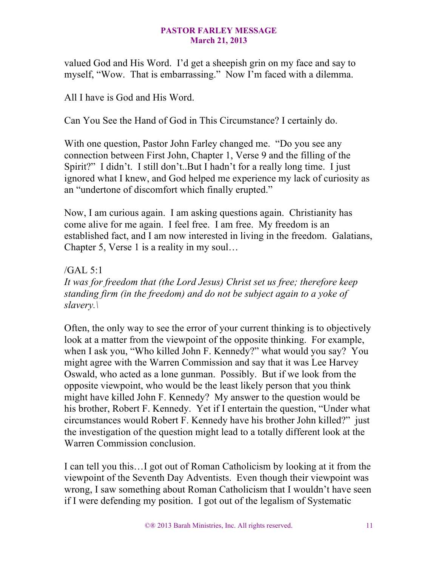valued God and His Word. I'd get a sheepish grin on my face and say to myself, "Wow. That is embarrassing." Now I'm faced with a dilemma.

All I have is God and His Word.

Can You See the Hand of God in This Circumstance? I certainly do.

With one question, Pastor John Farley changed me. "Do you see any connection between First John, Chapter 1, Verse 9 and the filling of the Spirit?" I didn't. I still don't..But I hadn't for a really long time. I just ignored what I knew, and God helped me experience my lack of curiosity as an "undertone of discomfort which finally erupted."

Now, I am curious again. I am asking questions again. Christianity has come alive for me again. I feel free. I am free. My freedom is an established fact, and I am now interested in living in the freedom. Galatians, Chapter 5, Verse 1 is a reality in my soul…

/GAL 5:1 *It was for freedom that (the Lord Jesus) Christ set us free; therefore keep standing firm (in the freedom) and do not be subject again to a yoke of slavery.\*

Often, the only way to see the error of your current thinking is to objectively look at a matter from the viewpoint of the opposite thinking. For example, when I ask you, "Who killed John F. Kennedy?" what would you say? You might agree with the Warren Commission and say that it was Lee Harvey Oswald, who acted as a lone gunman. Possibly. But if we look from the opposite viewpoint, who would be the least likely person that you think might have killed John F. Kennedy? My answer to the question would be his brother, Robert F. Kennedy. Yet if I entertain the question, "Under what circumstances would Robert F. Kennedy have his brother John killed?" just the investigation of the question might lead to a totally different look at the Warren Commission conclusion.

I can tell you this…I got out of Roman Catholicism by looking at it from the viewpoint of the Seventh Day Adventists. Even though their viewpoint was wrong, I saw something about Roman Catholicism that I wouldn't have seen if I were defending my position. I got out of the legalism of Systematic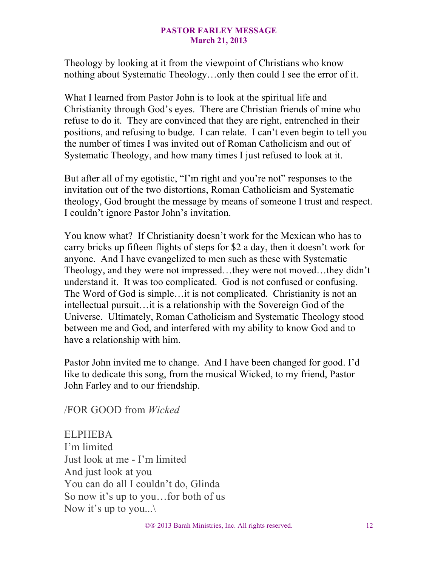Theology by looking at it from the viewpoint of Christians who know nothing about Systematic Theology…only then could I see the error of it.

What I learned from Pastor John is to look at the spiritual life and Christianity through God's eyes. There are Christian friends of mine who refuse to do it. They are convinced that they are right, entrenched in their positions, and refusing to budge. I can relate. I can't even begin to tell you the number of times I was invited out of Roman Catholicism and out of Systematic Theology, and how many times I just refused to look at it.

But after all of my egotistic, "I'm right and you're not" responses to the invitation out of the two distortions, Roman Catholicism and Systematic theology, God brought the message by means of someone I trust and respect. I couldn't ignore Pastor John's invitation.

You know what? If Christianity doesn't work for the Mexican who has to carry bricks up fifteen flights of steps for \$2 a day, then it doesn't work for anyone. And I have evangelized to men such as these with Systematic Theology, and they were not impressed…they were not moved…they didn't understand it. It was too complicated. God is not confused or confusing. The Word of God is simple…it is not complicated. Christianity is not an intellectual pursuit…it is a relationship with the Sovereign God of the Universe. Ultimately, Roman Catholicism and Systematic Theology stood between me and God, and interfered with my ability to know God and to have a relationship with him.

Pastor John invited me to change. And I have been changed for good. I'd like to dedicate this song, from the musical Wicked, to my friend, Pastor John Farley and to our friendship.

/FOR GOOD from *Wicked*

ELPHEBA I'm limited Just look at me - I'm limited And just look at you You can do all I couldn't do, Glinda So now it's up to you…for both of us Now it's up to you... $\setminus$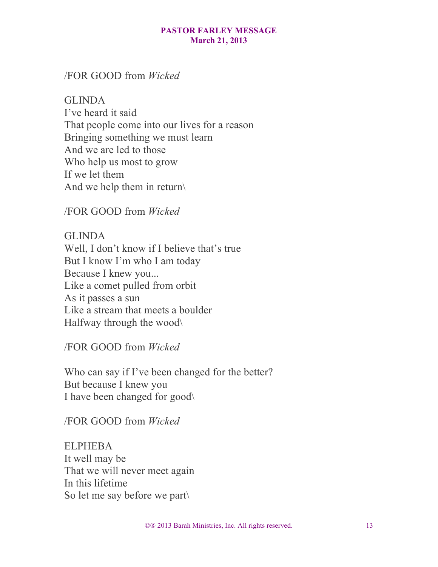# /FOR GOOD from *Wicked*

GLINDA I've heard it said That people come into our lives for a reason Bringing something we must learn And we are led to those Who help us most to grow If we let them And we help them in return\

/FOR GOOD from *Wicked*

GLINDA Well. I don't know if I believe that's true But I know I'm who I am today Because I knew you... Like a comet pulled from orbit As it passes a sun Like a stream that meets a boulder Halfway through the wood\

/FOR GOOD from *Wicked*

Who can say if I've been changed for the better? But because I knew you I have been changed for good\

/FOR GOOD from *Wicked*

ELPHEBA It well may be That we will never meet again In this lifetime So let me say before we part\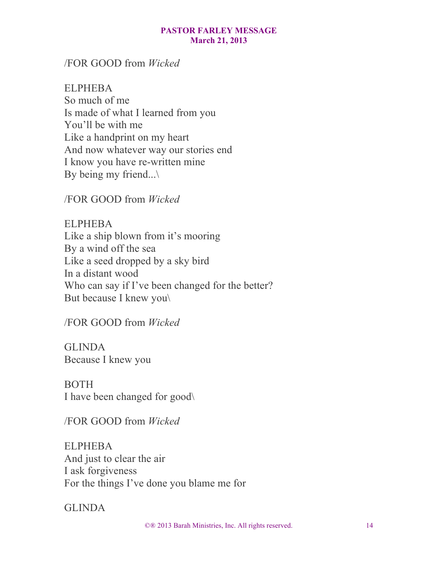### /FOR GOOD from *Wicked*

### ELPHEBA

So much of me Is made of what I learned from you You'll be with me Like a handprint on my heart And now whatever way our stories end I know you have re-written mine By being my friend...\

/FOR GOOD from *Wicked*

ELPHEBA Like a ship blown from it's mooring By a wind off the sea Like a seed dropped by a sky bird In a distant wood Who can say if I've been changed for the better? But because I knew you\

/FOR GOOD from *Wicked*

GLINDA Because I knew you

BOTH I have been changed for good\

/FOR GOOD from *Wicked*

ELPHEBA And just to clear the air I ask forgiveness For the things I've done you blame me for

GLINDA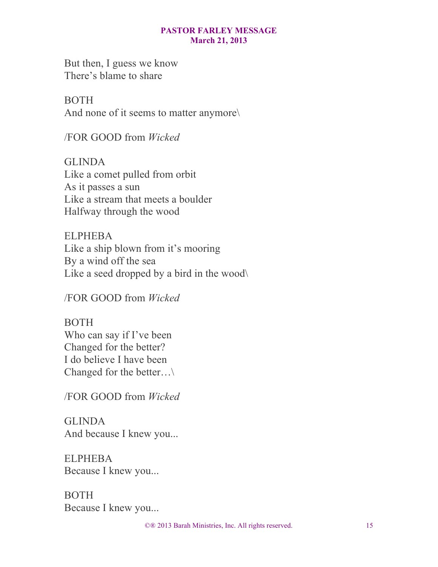But then, I guess we know There's blame to share

BOTH And none of it seems to matter anymore\

/FOR GOOD from *Wicked*

GLINDA Like a comet pulled from orbit As it passes a sun Like a stream that meets a boulder Halfway through the wood

ELPHEBA Like a ship blown from it's mooring By a wind off the sea Like a seed dropped by a bird in the wood

/FOR GOOD from *Wicked*

BOTH Who can say if I've been Changed for the better? I do believe I have been Changed for the better…\

/FOR GOOD from *Wicked*

GLINDA And because I knew you...

ELPHEBA Because I knew you...

BOTH Because I knew you...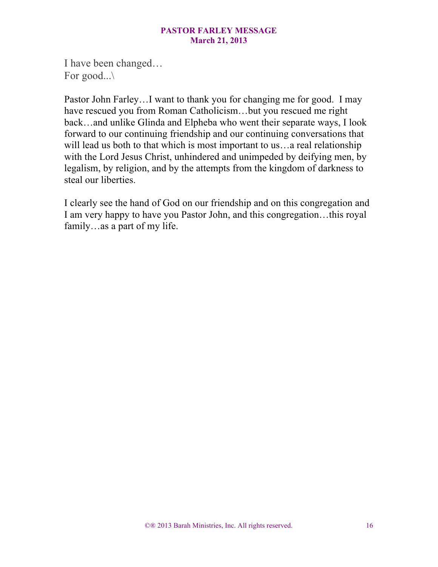I have been changed… For good...\

Pastor John Farley…I want to thank you for changing me for good. I may have rescued you from Roman Catholicism…but you rescued me right back…and unlike Glinda and Elpheba who went their separate ways, I look forward to our continuing friendship and our continuing conversations that will lead us both to that which is most important to us...a real relationship with the Lord Jesus Christ, unhindered and unimpeded by deifying men, by legalism, by religion, and by the attempts from the kingdom of darkness to steal our liberties.

I clearly see the hand of God on our friendship and on this congregation and I am very happy to have you Pastor John, and this congregation…this royal family…as a part of my life.